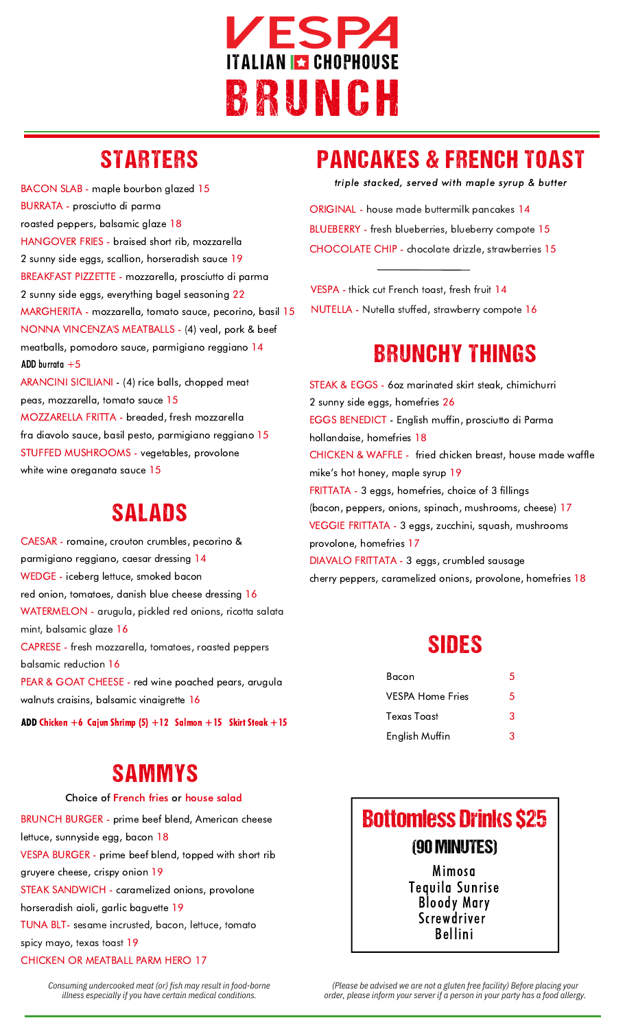

# STARTERS

BACON SLAB - maple bourbon glazed 15 BURRATA - prosciutto di parma roasted peppers, balsamic glaze 18 HANGOVER FRIES - braised short rib, mozzarella 2 sunny side eggs, scallion, horseradish sauce 19 BREAKFAST PIZZETTE - mozzarella, prosciutto di parma 2 sunny side eggs, everything bagel seasoning 22 MARGHERITA - mozzarella, tomato sauce, pecorino, basil 15 NONNA VINCENZA'S MEATBALLS - (4) veal, pork & beef meatballs, pomodoro sauce, parmigiano reggiano 14 +5 ADD burrataARANCINI SICILIANI - (4) rice balls, chopped meat peas, mozzarella, tomato sauce 15

MOZZARELLA FRITTA - breaded, fresh mozzarella fra diavolo sauce, basil pesto, parmigiano reggiano 15 STUFFED MUSHROOMS - vegetables, provolone white wine oreganata sauce 15

### SALADS

CAESAR - romaine, crouton crumbles, pecorino & parmigiano reggiano, caesar dressing 14 WEDGE - iceberg lettuce, smoked bacon red onion, tomatoes, danish blue cheese dressing 16 WATERMELON - arugula, pickled red onions, ricotta salata mint, balsamic glaze 16 CAPRESE - fresh mozzarella, tomatoes, roasted peppers balsamic reduction 16 PEAR & GOAT CHEESE - red wine poached pears, arugula walnuts craisins, balsamic vinaigrette 16

ADD Chicken +6 Cajun Shrimp  $(5) +12$  Salmon +15 Skirt Steak +15

# SAMMYS

#### Choice of French fries or house salad

BRUNCH BURGER - prime beef blend, American cheese lettuce, sunnyside egg, bacon 18 VESPA BURGER - prime beef blend, topped with short rib gruyere cheese, crispy onion 19 STEAK SANDWICH - caramelized onions, provolone horseradish aioli, garlic baguette 19 TUNA BLT- sesame incrusted, bacon, lettuce, tomato spicy mayo, texas toast 19 CHICKEN OR MEATBALL PARM HERO 17

# PANCAKES & FRENCH TOAST

triple stacked, served with maple syrup & butter

ORIGINAL - house made buttermilk pancakes 14 BLUEBERRY - fresh blueberries, blueberry compote 15 CHOCOLATE CHIP - chocolate drizzle, strawberries 15

VESPA - thick cut French toast, fresh fruit 14 NUTELLA - Nutella stuffed, strawberry compote 16

## BRUNCHY THINGS

STEAK & EGGS - 6oz marinated skirt steak, chimichurri 2 sunny side eggs, homefries 26 EGGS BENEDICT - English muffin, prosciutto di Parma hollandaise, homefries 18 CHICKEN & WAFFLE - fried chicken breast, house made waffle mike's hot honey, maple syrup 19 FRITTATA - 3 eggs, homefries, choice of 3 fillings (bacon, peppers, onions, spinach, mushrooms, cheese) 17 VEGGIE FRITTATA - 3 eggs, zucchini, squash, mushrooms provolone, homefries 17 DIAVALO FRITTATA - 3 eggs, crumbled sausage cherry peppers, caramelized onions, provolone, homefries 18

### SIDES

| Bacon                   | 5 |
|-------------------------|---|
| <b>VESPA Home Fries</b> | 5 |
| Texas Toast             | 3 |
| English Muffin          | З |



Bloody Mary Screwdriver Bellini

*Consuming undercooked meat (or) fish may result in food-borne illness especially if you have certain medical conditions.*

*(Please be advised we are not a gluten free facility) Before placing your order, please inform your server if a person in your party has a food allergy.*